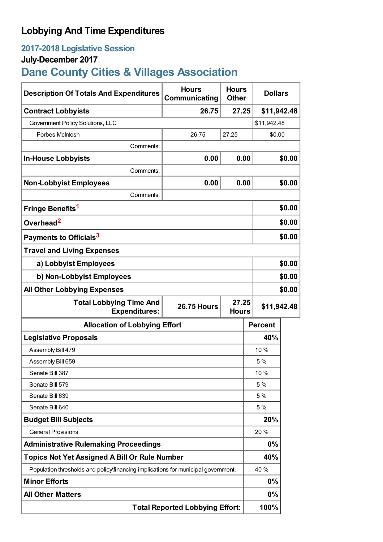## **Lobbying And Time Expenditures**

## **2017-2018 Legislative Session**

## **July-December 2017**

# **Dane County Cities & Villages Association**

| <b>Description Of Totals And Expenditures</b>                                                         | <b>Hours</b><br>Communicating          | <b>Hours</b><br><b>Other</b> | <b>Dollars</b> |        |
|-------------------------------------------------------------------------------------------------------|----------------------------------------|------------------------------|----------------|--------|
| <b>Contract Lobbyists</b>                                                                             | 26.75                                  | 27.25                        | \$11,942.48    |        |
| Government Policy Solutions, LLC                                                                      |                                        |                              | \$11,942.48    |        |
| Forbes McIntosh                                                                                       | 26.75                                  | 27.25                        | \$0.00         |        |
| Comments:                                                                                             |                                        |                              |                |        |
| <b>In-House Lobbyists</b>                                                                             | 0.00                                   | 0.00                         |                | \$0.00 |
| Comments:                                                                                             |                                        |                              |                |        |
| <b>Non-Lobbyist Employees</b>                                                                         | 0.00                                   | 0.00                         |                | \$0.00 |
| Comments:                                                                                             |                                        |                              |                |        |
| Fringe Benefits <sup>1</sup>                                                                          |                                        |                              |                | \$0.00 |
| Overhead <sup>2</sup>                                                                                 |                                        |                              |                | \$0.00 |
| Payments to Officials <sup>3</sup>                                                                    |                                        |                              |                | \$0.00 |
| <b>Travel and Living Expenses</b>                                                                     |                                        |                              |                |        |
| a) Lobbyist Employees                                                                                 |                                        |                              |                | \$0.00 |
| b) Non-Lobbyist Employees                                                                             |                                        |                              |                | \$0.00 |
| <b>All Other Lobbying Expenses</b>                                                                    |                                        |                              |                | \$0.00 |
| <b>Total Lobbying Time And</b><br>27.25<br><b>26.75 Hours</b><br><b>Expenditures:</b><br><b>Hours</b> |                                        |                              | \$11,942.48    |        |
| <b>Allocation of Lobbying Effort</b>                                                                  |                                        |                              | <b>Percent</b> |        |
| <b>Legislative Proposals</b>                                                                          |                                        |                              | 40%            |        |
| Assembly Bill 479                                                                                     |                                        |                              | 10 %           |        |
| Assembly Bill 659                                                                                     |                                        |                              | 5 %            |        |
| Senate Bill 387                                                                                       |                                        |                              | 10 %           |        |
| Senate Bill 579                                                                                       |                                        |                              | 5 %            |        |
| Senate Bill 639                                                                                       |                                        |                              | 5 %            |        |
| Senate Bill 640                                                                                       |                                        |                              | 5 %            |        |
| <b>Budget Bill Subjects</b>                                                                           |                                        |                              | 20%            |        |
| <b>General Provisions</b>                                                                             |                                        |                              | 20%            |        |
| <b>Administrative Rulemaking Proceedings</b>                                                          |                                        |                              | 0%             |        |
| <b>Topics Not Yet Assigned A Bill Or Rule Number</b>                                                  |                                        |                              | 40%            |        |
| Population thresholds and policy financing implications for municipal government.                     |                                        |                              | 40 %           |        |
| <b>Minor Efforts</b>                                                                                  |                                        |                              | 0%             |        |
| <b>All Other Matters</b>                                                                              |                                        |                              | 0%             |        |
|                                                                                                       | <b>Total Reported Lobbying Effort:</b> |                              | 100%           |        |